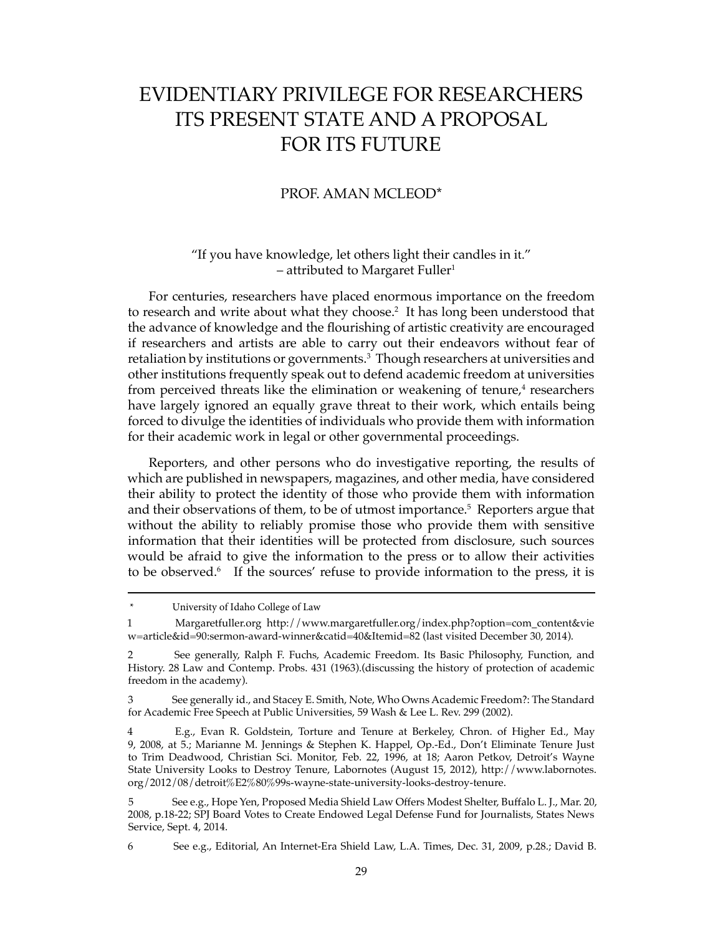# EVIDENTIARY PRIVILEGE FOR RESEARCHERS ITS PRESENT STATE AND A PROPOSAL FOR ITS FUTURE

### PROF. AMAN MCLEOD\*

## "If you have knowledge, let others light their candles in it."  $-$  attributed to Margaret Fuller<sup>1</sup>

For centuries, researchers have placed enormous importance on the freedom to research and write about what they choose.<sup>2</sup> It has long been understood that the advance of knowledge and the flourishing of artistic creativity are encouraged if researchers and artists are able to carry out their endeavors without fear of retaliation by institutions or governments.<sup>3</sup> Though researchers at universities and other institutions frequently speak out to defend academic freedom at universities from perceived threats like the elimination or weakening of tenure,<sup>4</sup> researchers have largely ignored an equally grave threat to their work, which entails being forced to divulge the identities of individuals who provide them with information for their academic work in legal or other governmental proceedings.

Reporters, and other persons who do investigative reporting, the results of which are published in newspapers, magazines, and other media, have considered their ability to protect the identity of those who provide them with information and their observations of them, to be of utmost importance.<sup>5</sup> Reporters argue that without the ability to reliably promise those who provide them with sensitive information that their identities will be protected from disclosure, such sources would be afraid to give the information to the press or to allow their activities to be observed.<sup>6</sup> If the sources' refuse to provide information to the press, it is

<sup>\*</sup> University of Idaho College of Law

<sup>1</sup> Margaretfuller.org http://www.margaretfuller.org/index.php?option=com\_content&vie w=article&id=90:sermon-award-winner&catid=40&Itemid=82 (last visited December 30, 2014).

<sup>2</sup> See generally, Ralph F. Fuchs, Academic Freedom. Its Basic Philosophy, Function, and History. 28 Law and Contemp. Probs. 431 (1963).(discussing the history of protection of academic freedom in the academy).

<sup>3</sup> See generally id., and Stacey E. Smith, Note, Who Owns Academic Freedom?: The Standard for Academic Free Speech at Public Universities, 59 Wash & Lee L. Rev. 299 (2002).

<sup>4</sup> E.g., Evan R. Goldstein, Torture and Tenure at Berkeley, Chron. of Higher Ed., May 9, 2008, at 5.; Marianne M. Jennings & Stephen K. Happel, Op.-Ed., Don't Eliminate Tenure Just to Trim Deadwood, Christian Sci. Monitor, Feb. 22, 1996, at 18; Aaron Petkov, Detroit's Wayne State University Looks to Destroy Tenure, Labornotes (August 15, 2012), http://www.labornotes. org/2012/08/detroit%E2%80%99s-wayne-state-university-looks-destroy-tenure.

<sup>5</sup> See e.g., Hope Yen, Proposed Media Shield Law Offers Modest Shelter, Buffalo L. J., Mar. 20, 2008, p.18-22; SPJ Board Votes to Create Endowed Legal Defense Fund for Journalists, States News Service, Sept. 4, 2014.

<sup>6</sup> See e.g., Editorial, An Internet-Era Shield Law, L.A. Times, Dec. 31, 2009, p.28.; David B.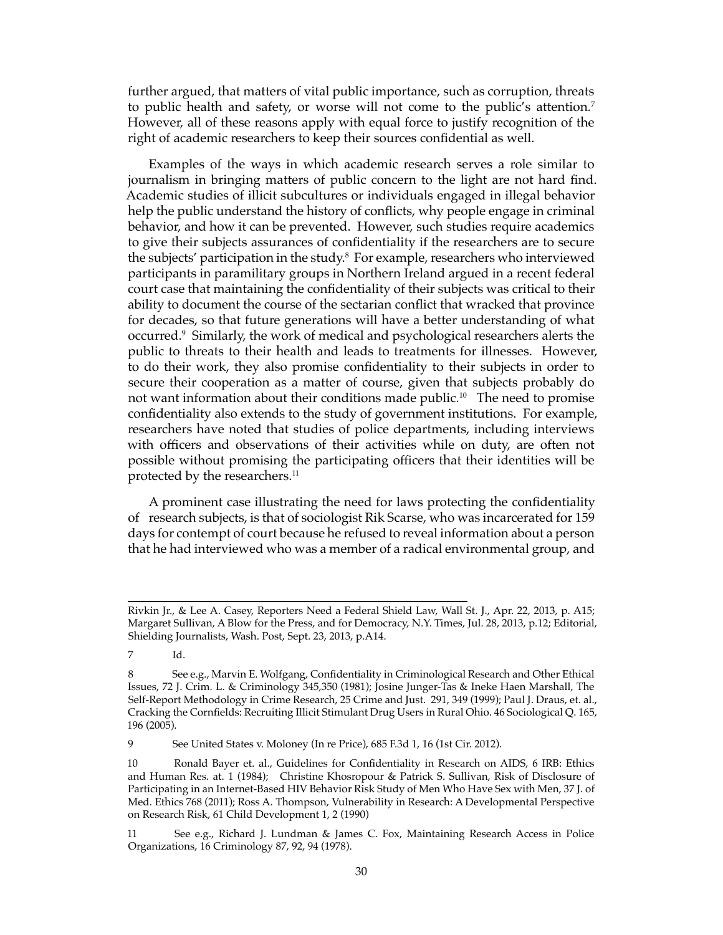further argued, that matters of vital public importance, such as corruption, threats to public health and safety, or worse will not come to the public's attention.7 However, all of these reasons apply with equal force to justify recognition of the right of academic researchers to keep their sources confidential as well.

Examples of the ways in which academic research serves a role similar to journalism in bringing matters of public concern to the light are not hard find. Academic studies of illicit subcultures or individuals engaged in illegal behavior help the public understand the history of conflicts, why people engage in criminal behavior, and how it can be prevented. However, such studies require academics to give their subjects assurances of confidentiality if the researchers are to secure the subjects' participation in the study.<sup>8</sup> For example, researchers who interviewed participants in paramilitary groups in Northern Ireland argued in a recent federal court case that maintaining the confidentiality of their subjects was critical to their ability to document the course of the sectarian conflict that wracked that province for decades, so that future generations will have a better understanding of what occurred.9 Similarly, the work of medical and psychological researchers alerts the public to threats to their health and leads to treatments for illnesses. However, to do their work, they also promise confidentiality to their subjects in order to secure their cooperation as a matter of course, given that subjects probably do not want information about their conditions made public.<sup>10</sup> The need to promise confidentiality also extends to the study of government institutions. For example, researchers have noted that studies of police departments, including interviews with officers and observations of their activities while on duty, are often not possible without promising the participating officers that their identities will be protected by the researchers.<sup>11</sup>

A prominent case illustrating the need for laws protecting the confidentiality of research subjects, is that of sociologist Rik Scarse, who was incarcerated for 159 days for contempt of court because he refused to reveal information about a person that he had interviewed who was a member of a radical environmental group, and

9 See United States v. Moloney (In re Price), 685 F.3d 1, 16 (1st Cir. 2012).

Rivkin Jr., & Lee A. Casey, Reporters Need a Federal Shield Law, Wall St. J., Apr. 22, 2013, p. A15; Margaret Sullivan, A Blow for the Press, and for Democracy, N.Y. Times, Jul. 28, 2013, p.12; Editorial, Shielding Journalists, Wash. Post, Sept. 23, 2013, p.A14.

<sup>7</sup> Id.

<sup>8</sup> See e.g., Marvin E. Wolfgang, Confidentiality in Criminological Research and Other Ethical Issues, 72 J. Crim. L. & Criminology 345,350 (1981); Josine Junger-Tas & Ineke Haen Marshall, The Self-Report Methodology in Crime Research, 25 Crime and Just. 291, 349 (1999); Paul J. Draus, et. al., Cracking the Cornfields: Recruiting Illicit Stimulant Drug Users in Rural Ohio. 46 Sociological Q. 165, 196 (2005).

<sup>10</sup> Ronald Bayer et. al., Guidelines for Confidentiality in Research on AIDS, 6 IRB: Ethics and Human Res. at. 1 (1984); Christine Khosropour & Patrick S. Sullivan, Risk of Disclosure of Participating in an Internet-Based HIV Behavior Risk Study of Men Who Have Sex with Men, 37 J. of Med. Ethics 768 (2011); Ross A. Thompson, Vulnerability in Research: A Developmental Perspective on Research Risk, 61 Child Development 1, 2 (1990)

<sup>11</sup> See e.g., Richard J. Lundman & James C. Fox, Maintaining Research Access in Police Organizations, 16 Criminology 87, 92, 94 (1978).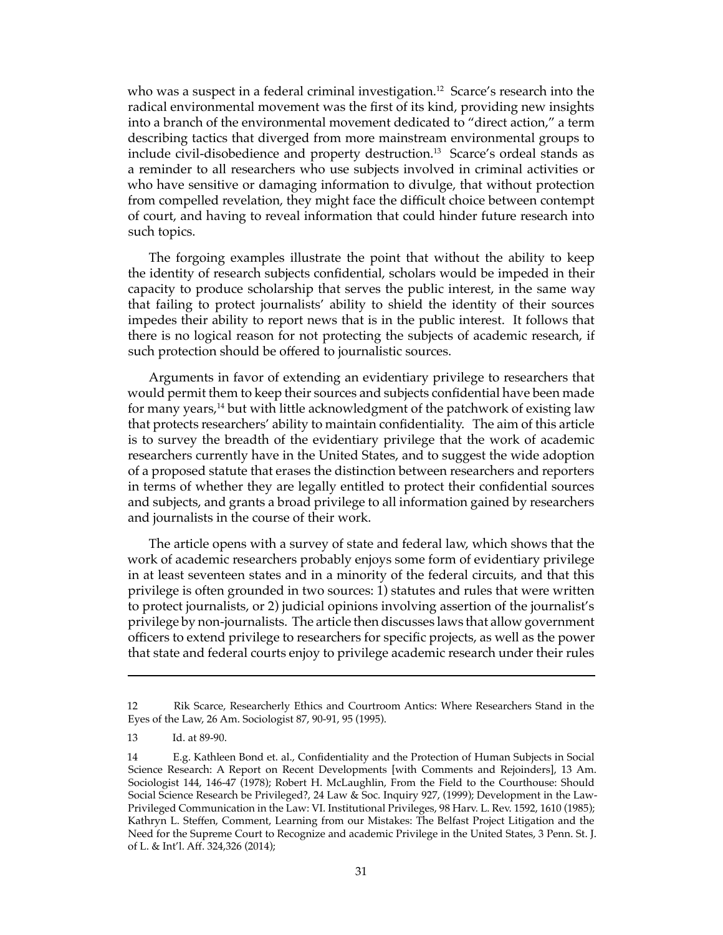who was a suspect in a federal criminal investigation.<sup>12</sup> Scarce's research into the radical environmental movement was the first of its kind, providing new insights into a branch of the environmental movement dedicated to "direct action," a term describing tactics that diverged from more mainstream environmental groups to include civil-disobedience and property destruction.<sup>13</sup> Scarce's ordeal stands as a reminder to all researchers who use subjects involved in criminal activities or who have sensitive or damaging information to divulge, that without protection from compelled revelation, they might face the difficult choice between contempt of court, and having to reveal information that could hinder future research into such topics.

The forgoing examples illustrate the point that without the ability to keep the identity of research subjects confidential, scholars would be impeded in their capacity to produce scholarship that serves the public interest, in the same way that failing to protect journalists' ability to shield the identity of their sources impedes their ability to report news that is in the public interest. It follows that there is no logical reason for not protecting the subjects of academic research, if such protection should be offered to journalistic sources.

Arguments in favor of extending an evidentiary privilege to researchers that would permit them to keep their sources and subjects confidential have been made for many years,<sup>14</sup> but with little acknowledgment of the patchwork of existing law that protects researchers' ability to maintain confidentiality. The aim of this article is to survey the breadth of the evidentiary privilege that the work of academic researchers currently have in the United States, and to suggest the wide adoption of a proposed statute that erases the distinction between researchers and reporters in terms of whether they are legally entitled to protect their confidential sources and subjects, and grants a broad privilege to all information gained by researchers and journalists in the course of their work.

The article opens with a survey of state and federal law, which shows that the work of academic researchers probably enjoys some form of evidentiary privilege in at least seventeen states and in a minority of the federal circuits, and that this privilege is often grounded in two sources: 1) statutes and rules that were written to protect journalists, or 2) judicial opinions involving assertion of the journalist's privilege by non-journalists. The article then discusses laws that allow government officers to extend privilege to researchers for specific projects, as well as the power that state and federal courts enjoy to privilege academic research under their rules

<sup>12</sup> Rik Scarce, Researcherly Ethics and Courtroom Antics: Where Researchers Stand in the Eyes of the Law, 26 Am. Sociologist 87, 90-91, 95 (1995).

<sup>13</sup> Id. at 89-90.

<sup>14</sup> E.g. Kathleen Bond et. al., Confidentiality and the Protection of Human Subjects in Social Science Research: A Report on Recent Developments [with Comments and Rejoinders], 13 Am. Sociologist 144, 146-47 (1978); Robert H. McLaughlin, From the Field to the Courthouse: Should Social Science Research be Privileged?, 24 Law & Soc. Inquiry 927, (1999); Development in the Law-Privileged Communication in the Law: VI. Institutional Privileges, 98 Harv. L. Rev. 1592, 1610 (1985); Kathryn L. Steffen, Comment, Learning from our Mistakes: The Belfast Project Litigation and the Need for the Supreme Court to Recognize and academic Privilege in the United States, 3 Penn. St. J. of L. & Int'l. Aff. 324,326 (2014);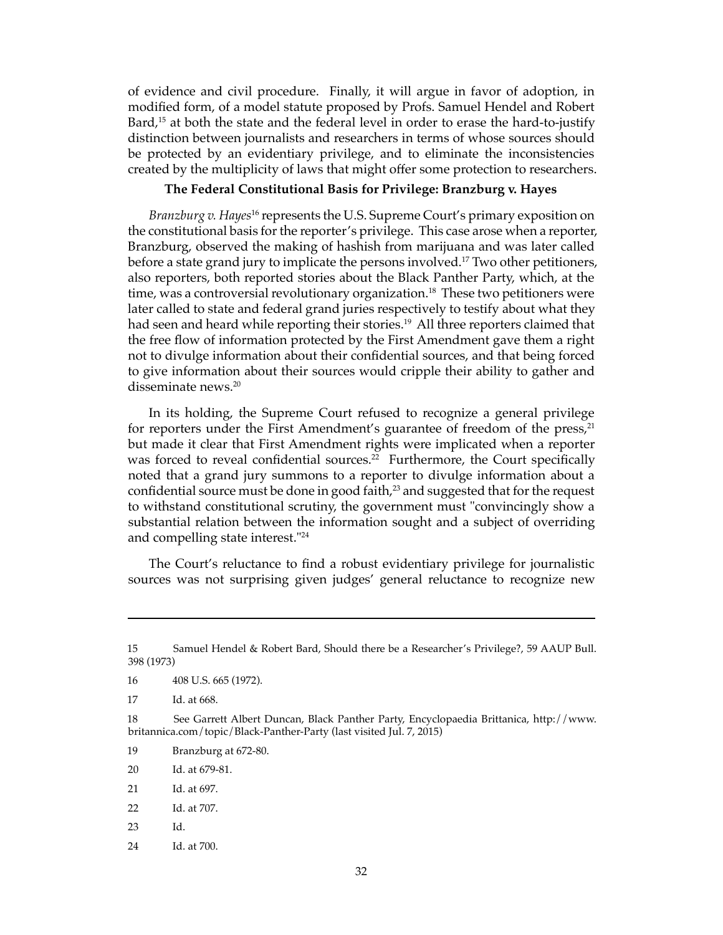of evidence and civil procedure. Finally, it will argue in favor of adoption, in modified form, of a model statute proposed by Profs. Samuel Hendel and Robert Bard,<sup>15</sup> at both the state and the federal level in order to erase the hard-to-justify distinction between journalists and researchers in terms of whose sources should be protected by an evidentiary privilege, and to eliminate the inconsistencies created by the multiplicity of laws that might offer some protection to researchers.

#### **The Federal Constitutional Basis for Privilege: Branzburg v. Hayes**

*Branzburg v. Hayes*16 represents the U.S. Supreme Court's primary exposition on the constitutional basis for the reporter's privilege. This case arose when a reporter, Branzburg, observed the making of hashish from marijuana and was later called before a state grand jury to implicate the persons involved.<sup>17</sup> Two other petitioners, also reporters, both reported stories about the Black Panther Party, which, at the time, was a controversial revolutionary organization.<sup>18</sup> These two petitioners were later called to state and federal grand juries respectively to testify about what they had seen and heard while reporting their stories.<sup>19</sup> All three reporters claimed that the free flow of information protected by the First Amendment gave them a right not to divulge information about their confidential sources, and that being forced to give information about their sources would cripple their ability to gather and disseminate news.20

In its holding, the Supreme Court refused to recognize a general privilege for reporters under the First Amendment's guarantee of freedom of the press,<sup>21</sup> but made it clear that First Amendment rights were implicated when a reporter was forced to reveal confidential sources.<sup>22</sup> Furthermore, the Court specifically noted that a grand jury summons to a reporter to divulge information about a confidential source must be done in good faith,<sup>23</sup> and suggested that for the request to withstand constitutional scrutiny, the government must "convincingly show a substantial relation between the information sought and a subject of overriding and compelling state interest."24

The Court's reluctance to find a robust evidentiary privilege for journalistic sources was not surprising given judges' general reluctance to recognize new

17 Id. at 668.

<sup>15</sup> Samuel Hendel & Robert Bard, Should there be a Researcher's Privilege?, 59 AAUP Bull. 398 (1973)

<sup>16 408</sup> U.S. 665 (1972).

<sup>18</sup> See Garrett Albert Duncan, Black Panther Party, Encyclopaedia Brittanica, http://www. britannica.com/topic/Black-Panther-Party (last visited Jul. 7, 2015)

<sup>19</sup> Branzburg at 672-80.

<sup>20</sup> Id. at 679-81.

<sup>21</sup> Id. at 697.

<sup>22</sup> Id. at 707.

<sup>23</sup> Id.

<sup>24</sup> Id. at 700.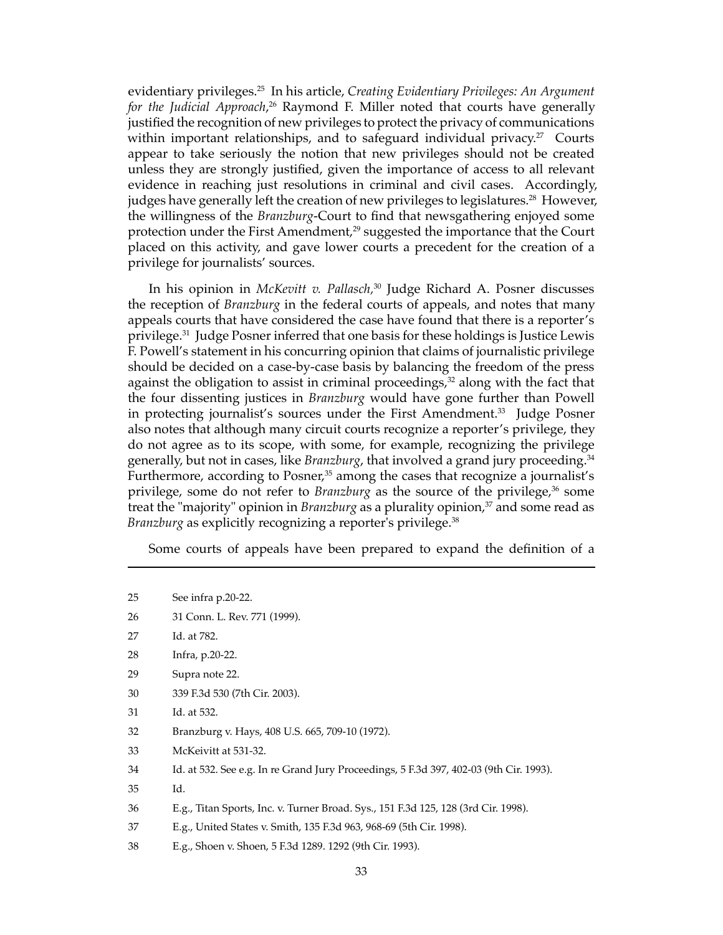evidentiary privileges.25 In his article, *Creating Evidentiary Privileges: An Argument for the Judicial Approach*, 26 Raymond F. Miller noted that courts have generally justified the recognition of new privileges to protect the privacy of communications within important relationships, and to safeguard individual privacy.<sup>27</sup> Courts appear to take seriously the notion that new privileges should not be created unless they are strongly justified, given the importance of access to all relevant evidence in reaching just resolutions in criminal and civil cases. Accordingly, judges have generally left the creation of new privileges to legislatures.<sup>28</sup> However, the willingness of the *Branzburg*-Court to find that newsgathering enjoyed some protection under the First Amendment,<sup>29</sup> suggested the importance that the Court placed on this activity, and gave lower courts a precedent for the creation of a privilege for journalists' sources.

In his opinion in *McKevitt v. Pallasch,*30 Judge Richard A. Posner discusses the reception of *Branzburg* in the federal courts of appeals, and notes that many appeals courts that have considered the case have found that there is a reporter's privilege.31 Judge Posner inferred that one basis for these holdings is Justice Lewis F. Powell's statement in his concurring opinion that claims of journalistic privilege should be decided on a case-by-case basis by balancing the freedom of the press against the obligation to assist in criminal proceedings, $32$  along with the fact that the four dissenting justices in *Branzburg* would have gone further than Powell in protecting journalist's sources under the First Amendment.<sup>33</sup> Judge Posner also notes that although many circuit courts recognize a reporter's privilege, they do not agree as to its scope, with some, for example, recognizing the privilege generally, but not in cases, like *Branzburg*, that involved a grand jury proceeding.34 Furthermore, according to Posner, $35$  among the cases that recognize a journalist's privilege, some do not refer to *Branzburg* as the source of the privilege,<sup>36</sup> some treat the "majority" opinion in *Branzburg* as a plurality opinion,<sup>37</sup> and some read as *Branzburg* as explicitly recognizing a reporter's privilege.<sup>38</sup>

Some courts of appeals have been prepared to expand the definition of a

- 27 Id. at 782.
- 28 Infra, p.20-22.
- 29 Supra note 22.
- 30 339 F.3d 530 (7th Cir. 2003).
- 31 Id. at 532.
- 32 Branzburg v. Hays, 408 U.S. 665, 709-10 (1972).
- 33 McKeivitt at 531-32.

34 Id. at 532. See e.g. In re Grand Jury Proceedings, 5 F.3d 397, 402-03 (9th Cir. 1993).

- 35 Id.
- 36 E.g., Titan Sports, Inc. v. Turner Broad. Sys., 151 F.3d 125, 128 (3rd Cir. 1998).
- 37 E.g., United States v. Smith, 135 F.3d 963, 968-69 (5th Cir. 1998).
- 38 E.g., Shoen v. Shoen, 5 F.3d 1289. 1292 (9th Cir. 1993).

<sup>25</sup> See infra p.20-22.

<sup>26 31</sup> Conn. L. Rev. 771 (1999).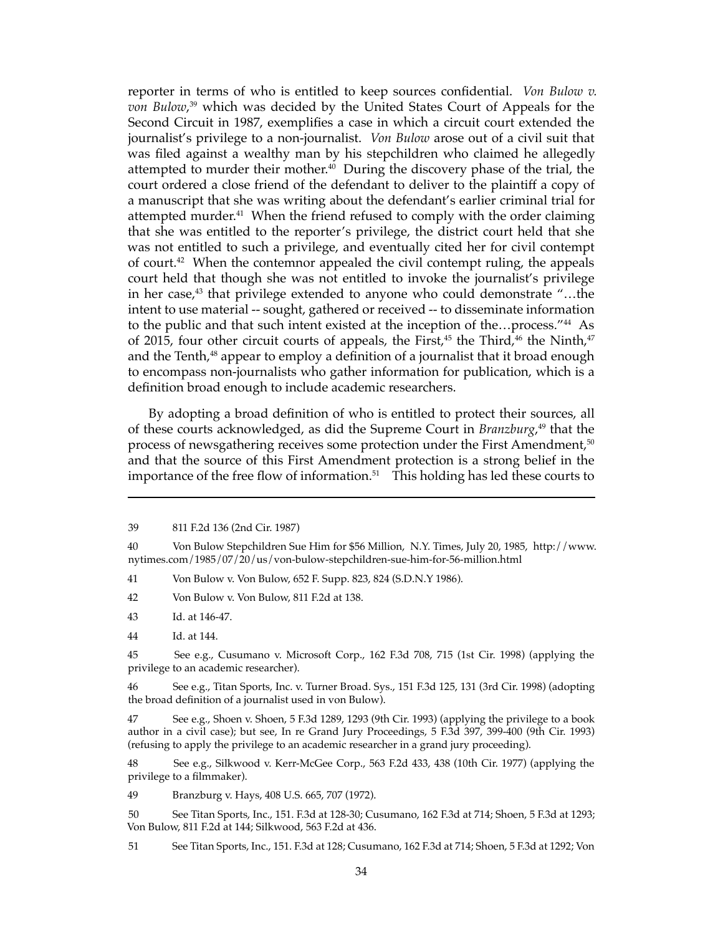reporter in terms of who is entitled to keep sources confidential. *Von Bulow v. von Bulow*, 39 which was decided by the United States Court of Appeals for the Second Circuit in 1987, exemplifies a case in which a circuit court extended the journalist's privilege to a non-journalist. *Von Bulow* arose out of a civil suit that was filed against a wealthy man by his stepchildren who claimed he allegedly attempted to murder their mother.<sup>40</sup> During the discovery phase of the trial, the court ordered a close friend of the defendant to deliver to the plaintiff a copy of a manuscript that she was writing about the defendant's earlier criminal trial for attempted murder.<sup>41</sup> When the friend refused to comply with the order claiming that she was entitled to the reporter's privilege, the district court held that she was not entitled to such a privilege, and eventually cited her for civil contempt of court.<sup>42</sup> When the contemnor appealed the civil contempt ruling, the appeals court held that though she was not entitled to invoke the journalist's privilege in her case, $43$  that privilege extended to anyone who could demonstrate "...the intent to use material -- sought, gathered or received -- to disseminate information to the public and that such intent existed at the inception of the...process."<sup>44</sup> As of 2015, four other circuit courts of appeals, the First,<sup>45</sup> the Third,<sup>46</sup> the Ninth,<sup>47</sup> and the Tenth, $48$  appear to employ a definition of a journalist that it broad enough to encompass non-journalists who gather information for publication, which is a definition broad enough to include academic researchers.

By adopting a broad definition of who is entitled to protect their sources, all of these courts acknowledged, as did the Supreme Court in *Branzburg*, 49 that the process of newsgathering receives some protection under the First Amendment,<sup>50</sup> and that the source of this First Amendment protection is a strong belief in the importance of the free flow of information. $51$  This holding has led these courts to

41 Von Bulow v. Von Bulow, 652 F. Supp. 823, 824 (S.D.N.Y 1986).

42 Von Bulow v. Von Bulow, 811 F.2d at 138.

43 Id. at 146-47.

44 Id. at 144.

45 See e.g., Cusumano v. Microsoft Corp., 162 F.3d 708, 715 (1st Cir. 1998) (applying the privilege to an academic researcher).

46 See e.g., Titan Sports, Inc. v. Turner Broad. Sys., 151 F.3d 125, 131 (3rd Cir. 1998) (adopting the broad definition of a journalist used in von Bulow).

47 See e.g., Shoen v. Shoen, 5 F.3d 1289, 1293 (9th Cir. 1993) (applying the privilege to a book author in a civil case); but see, In re Grand Jury Proceedings, 5 F.3d 397, 399-400 (9th Cir. 1993) (refusing to apply the privilege to an academic researcher in a grand jury proceeding).

48 See e.g., Silkwood v. Kerr-McGee Corp., 563 F.2d 433, 438 (10th Cir. 1977) (applying the privilege to a filmmaker).

49 Branzburg v. Hays, 408 U.S. 665, 707 (1972).

50 See Titan Sports, Inc., 151. F.3d at 128-30; Cusumano, 162 F.3d at 714; Shoen, 5 F.3d at 1293; Von Bulow, 811 F.2d at 144; Silkwood, 563 F.2d at 436.

51 See Titan Sports, Inc., 151. F.3d at 128; Cusumano, 162 F.3d at 714; Shoen, 5 F.3d at 1292; Von

<sup>39 811</sup> F.2d 136 (2nd Cir. 1987)

<sup>40</sup> Von Bulow Stepchildren Sue Him for \$56 Million, N.Y. Times, July 20, 1985, http://www. nytimes.com/1985/07/20/us/von-bulow-stepchildren-sue-him-for-56-million.html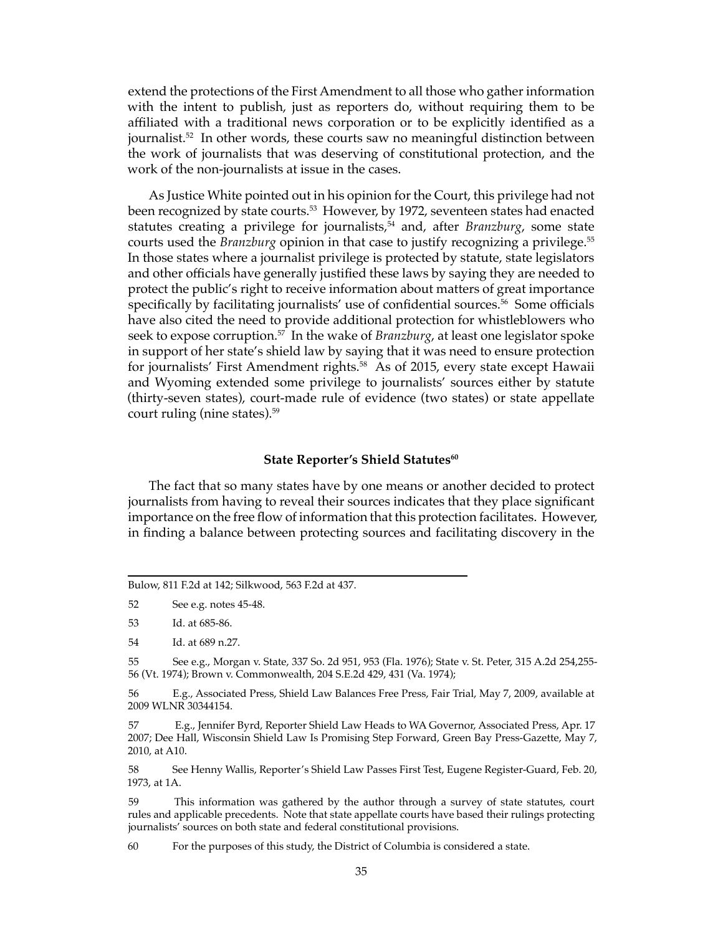extend the protections of the First Amendment to all those who gather information with the intent to publish, just as reporters do, without requiring them to be affiliated with a traditional news corporation or to be explicitly identified as a journalist.<sup>52</sup> In other words, these courts saw no meaningful distinction between the work of journalists that was deserving of constitutional protection, and the work of the non-journalists at issue in the cases.

As Justice White pointed out in his opinion for the Court, this privilege had not been recognized by state courts.<sup>53</sup> However, by 1972, seventeen states had enacted statutes creating a privilege for journalists,<sup>54</sup> and, after *Branzburg*, some state courts used the *Branzburg* opinion in that case to justify recognizing a privilege.<sup>55</sup> In those states where a journalist privilege is protected by statute, state legislators and other officials have generally justified these laws by saying they are needed to protect the public's right to receive information about matters of great importance specifically by facilitating journalists' use of confidential sources.<sup>56</sup> Some officials have also cited the need to provide additional protection for whistleblowers who seek to expose corruption.57 In the wake of *Branzburg*, at least one legislator spoke in support of her state's shield law by saying that it was need to ensure protection for journalists' First Amendment rights.<sup>58</sup> As of 2015, every state except Hawaii and Wyoming extended some privilege to journalists' sources either by statute (thirty-seven states), court-made rule of evidence (two states) or state appellate court ruling (nine states).59

#### **State Reporter's Shield Statutes<sup>60</sup>**

The fact that so many states have by one means or another decided to protect journalists from having to reveal their sources indicates that they place significant importance on the free flow of information that this protection facilitates. However, in finding a balance between protecting sources and facilitating discovery in the

52 See e.g. notes 45-48.

53 Id. at 685-86.

54 Id. at 689 n.27.

55 See e.g., Morgan v. State, 337 So. 2d 951, 953 (Fla. 1976); State v. St. Peter, 315 A.2d 254,255- 56 (Vt. 1974); Brown v. Commonwealth, 204 S.E.2d 429, 431 (Va. 1974);

56 E.g., Associated Press, Shield Law Balances Free Press, Fair Trial, May 7, 2009, available at 2009 WLNR 30344154.

57 E.g., Jennifer Byrd, Reporter Shield Law Heads to WA Governor, Associated Press, Apr. 17 2007; Dee Hall, Wisconsin Shield Law Is Promising Step Forward, Green Bay Press-Gazette, May 7, 2010, at A10.

58 See Henny Wallis, Reporter's Shield Law Passes First Test, Eugene Register-Guard, Feb. 20, 1973, at 1A.

59 This information was gathered by the author through a survey of state statutes, court rules and applicable precedents. Note that state appellate courts have based their rulings protecting journalists' sources on both state and federal constitutional provisions.

60 For the purposes of this study, the District of Columbia is considered a state.

Bulow, 811 F.2d at 142; Silkwood, 563 F.2d at 437.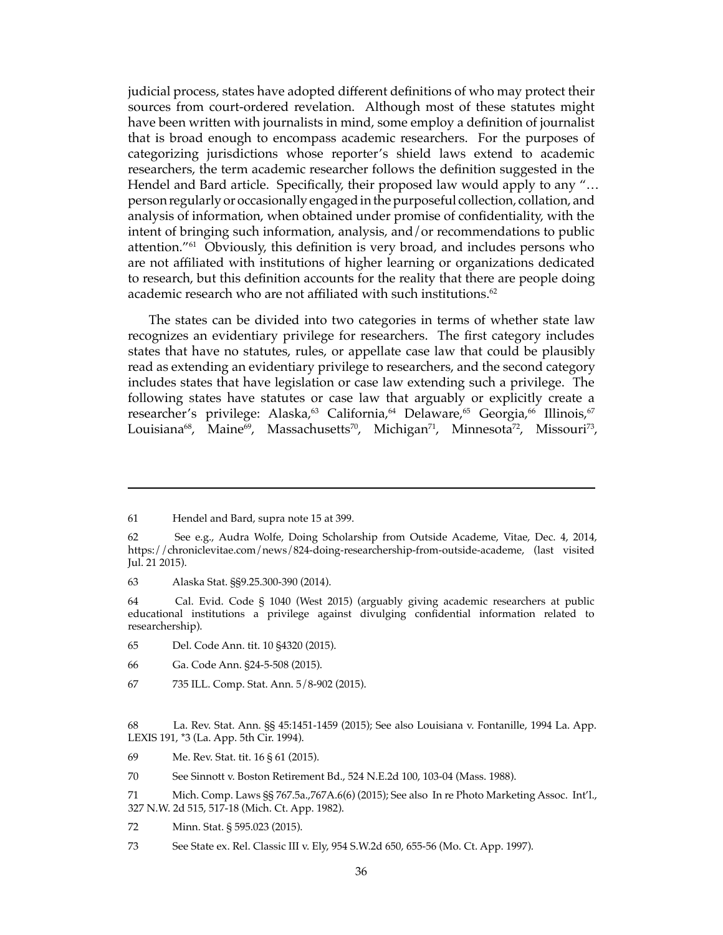judicial process, states have adopted different definitions of who may protect their sources from court-ordered revelation. Although most of these statutes might have been written with journalists in mind, some employ a definition of journalist that is broad enough to encompass academic researchers. For the purposes of categorizing jurisdictions whose reporter's shield laws extend to academic researchers, the term academic researcher follows the definition suggested in the Hendel and Bard article. Specifically, their proposed law would apply to any "… person regularly or occasionally engaged in the purposeful collection, collation, and analysis of information, when obtained under promise of confidentiality, with the intent of bringing such information, analysis, and/or recommendations to public attention."61 Obviously, this definition is very broad, and includes persons who are not affiliated with institutions of higher learning or organizations dedicated to research, but this definition accounts for the reality that there are people doing academic research who are not affiliated with such institutions.<sup>62</sup>

The states can be divided into two categories in terms of whether state law recognizes an evidentiary privilege for researchers. The first category includes states that have no statutes, rules, or appellate case law that could be plausibly read as extending an evidentiary privilege to researchers, and the second category includes states that have legislation or case law extending such a privilege. The following states have statutes or case law that arguably or explicitly create a researcher's privilege: Alaska,<sup>63</sup> California,<sup>64</sup> Delaware,<sup>65</sup> Georgia,<sup>66</sup> Illinois,<sup>67</sup> Louisiana<sup>68</sup>, Maine<sup>69</sup>, Massachusetts<sup>70</sup>, Michigan<sup>71</sup>, Minnesota<sup>72</sup>, Missouri<sup>73</sup>,

- 65 Del. Code Ann. tit. 10 §4320 (2015).
- 66 Ga. Code Ann. §24-5-508 (2015).
- 67 735 ILL. Comp. Stat. Ann. 5/8-902 (2015).

<sup>61</sup> Hendel and Bard, supra note 15 at 399.

<sup>62</sup> See e.g., Audra Wolfe, Doing Scholarship from Outside Academe, Vitae, Dec. 4, 2014, https://chroniclevitae.com/news/824-doing-researchership-from-outside-academe, (last visited Jul. 21 2015).

<sup>63</sup> Alaska Stat. §§9.25.300-390 (2014).

<sup>64</sup> Cal. Evid. Code § 1040 (West 2015) (arguably giving academic researchers at public educational institutions a privilege against divulging confidential information related to researchership).

<sup>68</sup> La. Rev. Stat. Ann. §§ 45:1451-1459 (2015); See also Louisiana v. Fontanille, 1994 La. App. LEXIS 191, \*3 (La. App. 5th Cir. 1994).

<sup>69</sup> Me. Rev. Stat. tit. 16 § 61 (2015).

<sup>70</sup> See Sinnott v. Boston Retirement Bd., 524 N.E.2d 100, 103-04 (Mass. 1988).

<sup>71</sup> Mich. Comp. Laws §§ 767.5a.,767A.6(6) (2015); See also In re Photo Marketing Assoc. Int'l., 327 N.W. 2d 515, 517-18 (Mich. Ct. App. 1982).

<sup>72</sup> Minn. Stat. § 595.023 (2015).

<sup>73</sup> See State ex. Rel. Classic III v. Ely, 954 S.W.2d 650, 655-56 (Mo. Ct. App. 1997).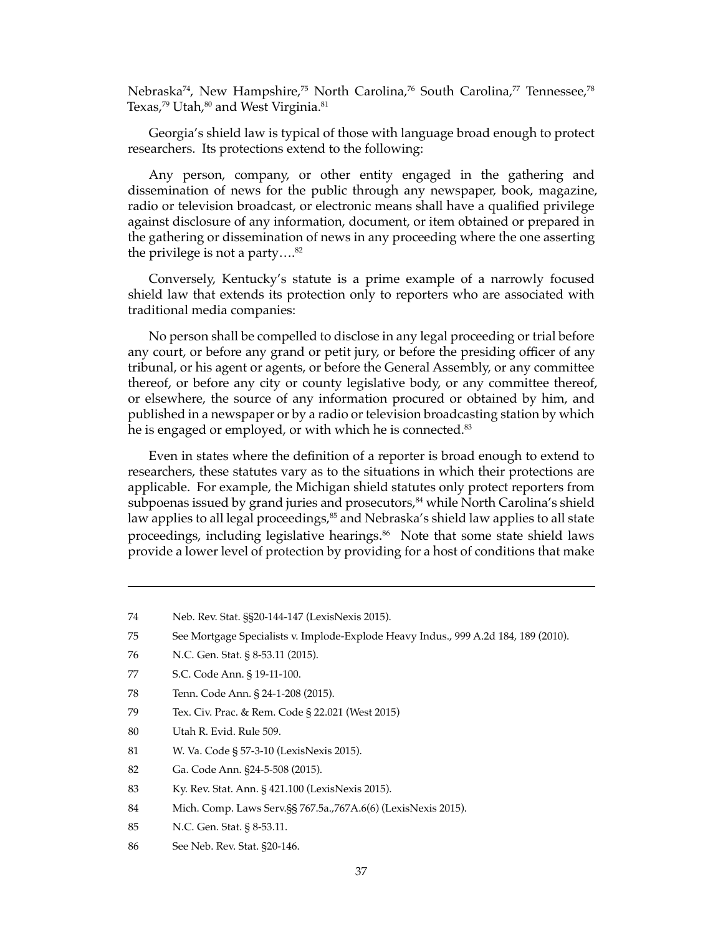Nebraska<sup>74</sup>, New Hampshire,<sup>75</sup> North Carolina,<sup>76</sup> South Carolina,<sup>77</sup> Tennessee,<sup>78</sup> Texas,<sup>79</sup> Utah,<sup>80</sup> and West Virginia.<sup>81</sup>

Georgia's shield law is typical of those with language broad enough to protect researchers. Its protections extend to the following:

Any person, company, or other entity engaged in the gathering and dissemination of news for the public through any newspaper, book, magazine, radio or television broadcast, or electronic means shall have a qualified privilege against disclosure of any information, document, or item obtained or prepared in the gathering or dissemination of news in any proceeding where the one asserting the privilege is not a party.... $82$ 

Conversely, Kentucky's statute is a prime example of a narrowly focused shield law that extends its protection only to reporters who are associated with traditional media companies:

No person shall be compelled to disclose in any legal proceeding or trial before any court, or before any grand or petit jury, or before the presiding officer of any tribunal, or his agent or agents, or before the General Assembly, or any committee thereof, or before any city or county legislative body, or any committee thereof, or elsewhere, the source of any information procured or obtained by him, and published in a newspaper or by a radio or television broadcasting station by which he is engaged or employed, or with which he is connected.<sup>83</sup>

Even in states where the definition of a reporter is broad enough to extend to researchers, these statutes vary as to the situations in which their protections are applicable. For example, the Michigan shield statutes only protect reporters from subpoenas issued by grand juries and prosecutors,<sup>84</sup> while North Carolina's shield law applies to all legal proceedings, $85$  and Nebraska's shield law applies to all state proceedings, including legislative hearings. 86 Note that some state shield laws provide a lower level of protection by providing for a host of conditions that make

- 80 Utah R. Evid. Rule 509.
- 81 W. Va. Code § 57-3-10 (LexisNexis 2015).
- 82 Ga. Code Ann. §24-5-508 (2015).
- 83 Ky. Rev. Stat. Ann. § 421.100 (LexisNexis 2015).
- 84 Mich. Comp. Laws Serv.§§ 767.5a.,767A.6(6) (LexisNexis 2015).
- 85 N.C. Gen. Stat. § 8-53.11.
- 86 See Neb. Rev. Stat. §20-146.

<sup>74</sup> Neb. Rev. Stat. §§20-144-147 (LexisNexis 2015).

<sup>75</sup> See Mortgage Specialists v. Implode-Explode Heavy Indus., 999 A.2d 184, 189 (2010).

<sup>76</sup> N.C. Gen. Stat. § 8-53.11 (2015).

<sup>77</sup> S.C. Code Ann. § 19-11-100.

<sup>78</sup> Tenn. Code Ann. § 24-1-208 (2015).

<sup>79</sup> Tex. Civ. Prac. & Rem. Code § 22.021 (West 2015)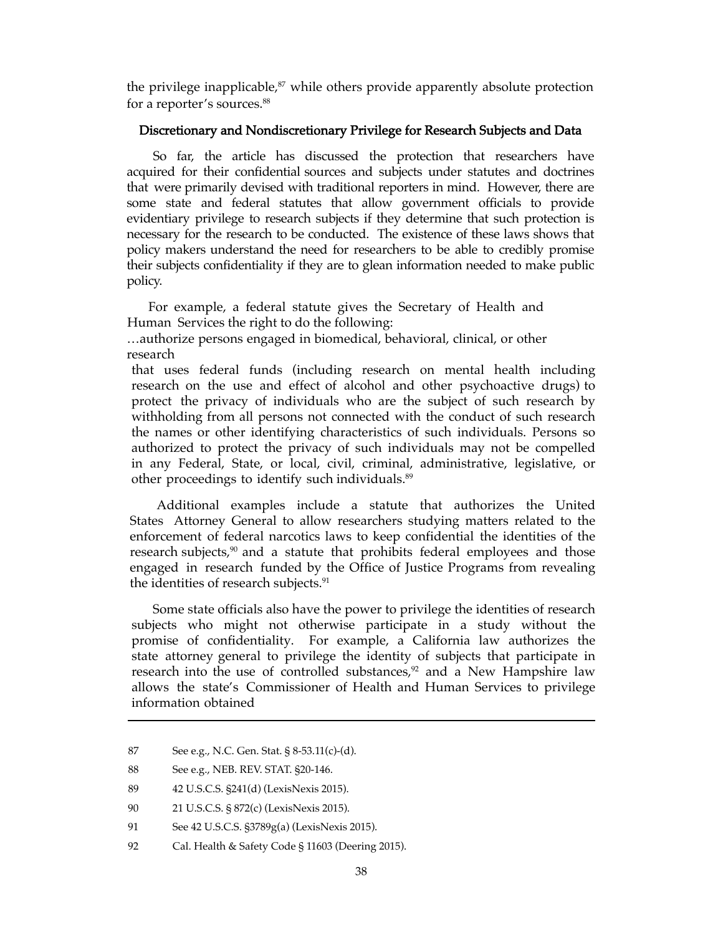the privilege inapplicable, $87$  while others provide apparently absolute protection for a reporter's sources.<sup>88</sup>

## Discretionary and Nondiscretionary Privilege for Research Subjects and Data

So far, the article has discussed the protection that researchers have acquired for their confidential sources and subjects under statutes and doctrines that were primarily devised with traditional reporters in mind. However, there are some state and federal statutes that allow government officials to provide evidentiary privilege to research subjects if they determine that such protection is necessary for the research to be conducted. The existence of these laws shows that policy makers understand the need for researchers to be able to credibly promise their subjects confidentiality if they are to glean information needed to make public policy.

For example, a federal statute gives the Secretary of Health and Human Services the right to do the following:

…authorize persons engaged in biomedical, behavioral, clinical, or other research

that uses federal funds (including research on mental health including research on the use and effect of alcohol and other psychoactive drugs) to protect the privacy of individuals who are the subject of such research by withholding from all persons not connected with the conduct of such research the names or other identifying characteristics of such individuals. Persons so authorized to protect the privacy of such individuals may not be compelled in any Federal, State, or local, civil, criminal, administrative, legislative, or other proceedings to identify such individuals.<sup>89</sup>

Additional examples include a statute that authorizes the United States Attorney General to allow researchers studying matters related to the enforcement of federal narcotics laws to keep confidential the identities of the research subjects,<sup>90</sup> and a statute that prohibits federal employees and those engaged in research funded by the Office of Justice Programs from revealing the identities of research subjects.<sup>91</sup>

Some state officials also have the power to privilege the identities of research subjects who might not otherwise participate in a study without the promise of confidentiality. For example, a California law authorizes the state attorney general to privilege the identity of subjects that participate in research into the use of controlled substances,<sup>92</sup> and a New Hampshire law allows the state's Commissioner of Health and Human Services to privilege information obtained

<sup>87</sup> See e.g., N.C. Gen. Stat. § 8-53.11(c)-(d).

<sup>88</sup> See e.g., NEB. REV. STAT. §20-146.

<sup>89 42</sup> U.S.C.S. §241(d) (LexisNexis 2015).

<sup>90 21</sup> U.S.C.S. § 872(c) (LexisNexis 2015).

<sup>91</sup> See 42 U.S.C.S. §3789g(a) (LexisNexis 2015).

<sup>92</sup> Cal. Health & Safety Code § 11603 (Deering 2015).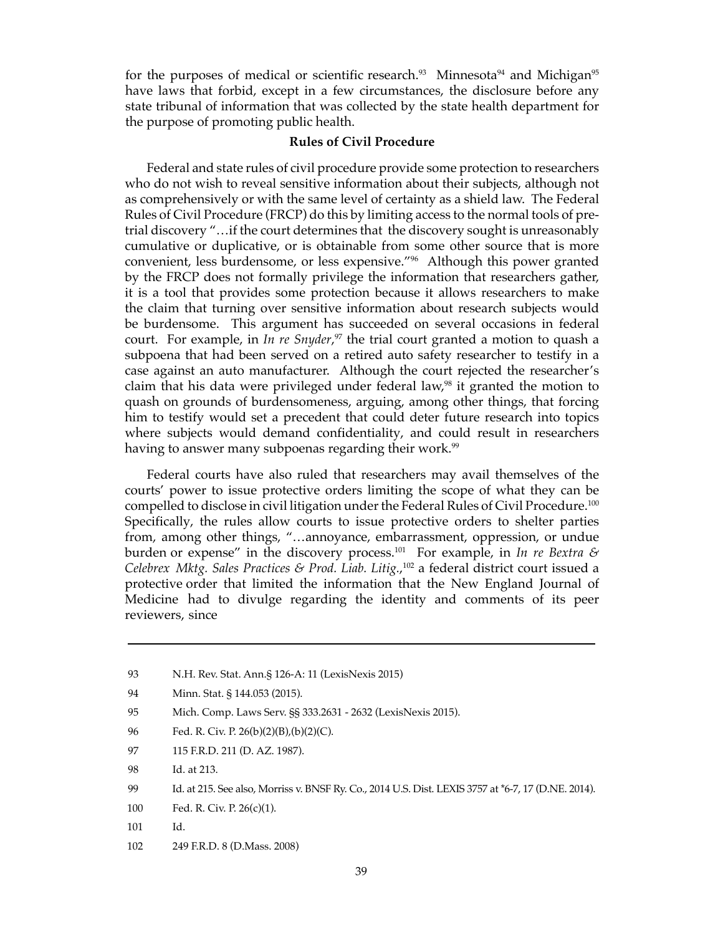for the purposes of medical or scientific research.<sup>93</sup> Minnesota<sup>94</sup> and Michigan<sup>95</sup> have laws that forbid, except in a few circumstances, the disclosure before any state tribunal of information that was collected by the state health department for the purpose of promoting public health.

#### **Rules of Civil Procedure**

Federal and state rules of civil procedure provide some protection to researchers who do not wish to reveal sensitive information about their subjects, although not as comprehensively or with the same level of certainty as a shield law. The Federal Rules of Civil Procedure (FRCP) do this by limiting access to the normal tools of pretrial discovery "…if the court determines that the discovery sought is unreasonably cumulative or duplicative, or is obtainable from some other source that is more convenient, less burdensome, or less expensive."<sup>96</sup> Although this power granted by the FRCP does not formally privilege the information that researchers gather, it is a tool that provides some protection because it allows researchers to make the claim that turning over sensitive information about research subjects would be burdensome. This argument has succeeded on several occasions in federal court. For example, in *In re Snyder*, <sup>97</sup> the trial court granted a motion to quash a subpoena that had been served on a retired auto safety researcher to testify in a case against an auto manufacturer. Although the court rejected the researcher's claim that his data were privileged under federal law, $98$  it granted the motion to quash on grounds of burdensomeness, arguing, among other things, that forcing him to testify would set a precedent that could deter future research into topics where subjects would demand confidentiality, and could result in researchers having to answer many subpoenas regarding their work.<sup>99</sup>

Federal courts have also ruled that researchers may avail themselves of the courts' power to issue protective orders limiting the scope of what they can be compelled to disclose in civil litigation under the Federal Rules of Civil Procedure. $^{100}$ Specifically, the rules allow courts to issue protective orders to shelter parties from, among other things, "…annoyance, embarrassment, oppression, or undue burden or expense" in the discovery process.<sup>101</sup> For example, in *In re Bextra & Celebrex Mktg. Sales Practices & Prod. Liab. Litig.*, <sup>102</sup> a federal district court issued a protective order that limited the information that the New England Journal of Medicine had to divulge regarding the identity and comments of its peer reviewers, since

- 93 N.H. Rev. Stat. Ann.§ 126-A: 11 (LexisNexis 2015)
- 94 Minn. Stat. § 144.053 (2015).
- 95 Mich. Comp. Laws Serv. §§ 333.2631 2632 (LexisNexis 2015).
- 96 Fed. R. Civ. P. 26(b)(2)(B),(b)(2)(C).
- 97 115 F.R.D. 211 (D. AZ. 1987).
- 98 Id. at 213.
- 99 Id. at 215. See also, Morriss v. BNSF Ry. Co., 2014 U.S. Dist. LEXIS 3757 at \*6-7, 17 (D.NE. 2014).
- 100 Fed. R. Civ. P. 26(c)(1).
- 101 Id.
- 102 249 F.R.D. 8 (D.Mass. 2008)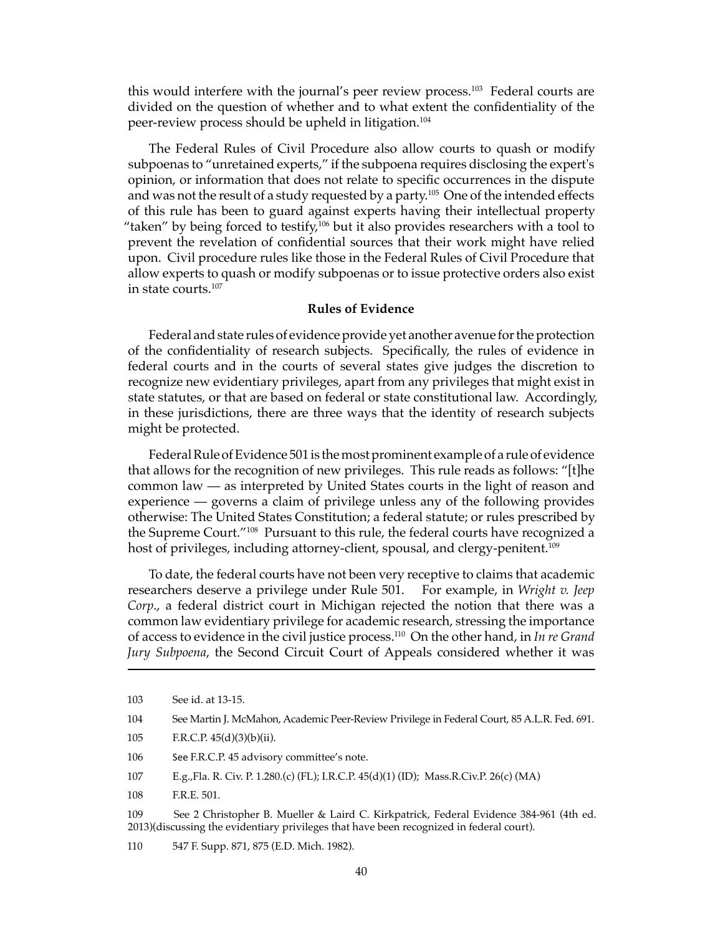this would interfere with the journal's peer review process.<sup>103</sup> Federal courts are divided on the question of whether and to what extent the confidentiality of the peer-review process should be upheld in litigation.104

The Federal Rules of Civil Procedure also allow courts to quash or modify subpoenas to "unretained experts," if the subpoena requires disclosing the expert's opinion, or information that does not relate to specific occurrences in the dispute and was not the result of a study requested by a party.<sup>105</sup> One of the intended effects of this rule has been to guard against experts having their intellectual property "taken" by being forced to testify, $106$  but it also provides researchers with a tool to prevent the revelation of confidential sources that their work might have relied upon. Civil procedure rules like those in the Federal Rules of Civil Procedure that allow experts to quash or modify subpoenas or to issue protective orders also exist in state courts.107

#### **Rules of Evidence**

Federal and state rules of evidence provide yet another avenue for the protection of the confidentiality of research subjects. Specifically, the rules of evidence in federal courts and in the courts of several states give judges the discretion to recognize new evidentiary privileges, apart from any privileges that might exist in state statutes, or that are based on federal or state constitutional law. Accordingly, in these jurisdictions, there are three ways that the identity of research subjects might be protected.

Federal Rule of Evidence 501 is the most prominent example of a rule of evidence that allows for the recognition of new privileges. This rule reads as follows: "[t]he common law — as interpreted by United States courts in the light of reason and experience — governs a claim of privilege unless any of the following provides otherwise: The United States Constitution; a federal statute; or rules prescribed by the Supreme Court."108 Pursuant to this rule, the federal courts have recognized a host of privileges, including attorney-client, spousal, and clergy-penitent.<sup>109</sup>

To date, the federal courts have not been very receptive to claims that academic researchers deserve a privilege under Rule 501. For example, in *Wright v. Jeep Corp*., a federal district court in Michigan rejected the notion that there was a common law evidentiary privilege for academic research, stressing the importance of access to evidence in the civil justice process.110 On the other hand, in *In re Grand Jury Subpoena*, the Second Circuit Court of Appeals considered whether it was

- 105 F.R.C.P. 45(d)(3)(b)(ii).
- 106 See F.R.C.P. 45 advisory committee's note.
- 107 E.g.,Fla. R. Civ. P. 1.280.(c) (FL); I.R.C.P. 45(d)(1) (ID); Mass.R.Civ.P. 26(c) (MA)
- 108 F.R.E. 501.

109 See 2 Christopher B. Mueller & Laird C. Kirkpatrick, Federal Evidence 384-961 (4th ed. 2013)(discussing the evidentiary privileges that have been recognized in federal court).

110 547 F. Supp. 871, 875 (E.D. Mich. 1982).

<sup>103</sup> See id. at 13-15.

<sup>104</sup> See Martin J. McMahon, Academic Peer-Review Privilege in Federal Court, 85 A.L.R. Fed. 691.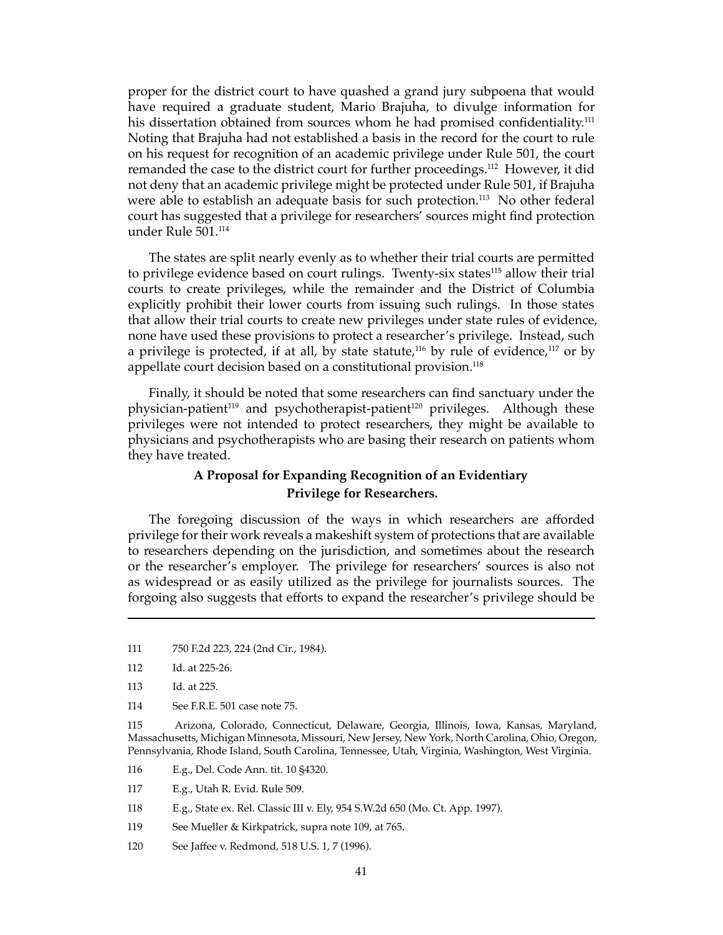proper for the district court to have quashed a grand jury subpoena that would have required a graduate student, Mario Brajuha, to divulge information for his dissertation obtained from sources whom he had promised confidentiality.<sup>111</sup> Noting that Brajuha had not established a basis in the record for the court to rule on his request for recognition of an academic privilege under Rule 501, the court remanded the case to the district court for further proceedings.<sup>112</sup> However, it did not deny that an academic privilege might be protected under Rule 501, if Brajuha were able to establish an adequate basis for such protection.<sup>113</sup> No other federal court has suggested that a privilege for researchers' sources might find protection under Rule 501.114

The states are split nearly evenly as to whether their trial courts are permitted to privilege evidence based on court rulings. Twenty-six states<sup>115</sup> allow their trial courts to create privileges, while the remainder and the District of Columbia explicitly prohibit their lower courts from issuing such rulings. In those states that allow their trial courts to create new privileges under state rules of evidence, none have used these provisions to protect a researcher's privilege. Instead, such a privilege is protected, if at all, by state statute,<sup>116</sup> by rule of evidence,<sup>117</sup> or by appellate court decision based on a constitutional provision.<sup>118</sup>

Finally, it should be noted that some researchers can find sanctuary under the physician-patient<sup>119</sup> and psychotherapist-patient<sup>120</sup> privileges. Although these privileges were not intended to protect researchers, they might be available to physicians and psychotherapists who are basing their research on patients whom they have treated.

## **A Proposal for Expanding Recognition of an Evidentiary Privilege for Researchers.**

The foregoing discussion of the ways in which researchers are afforded privilege for their work reveals a makeshift system of protections that are available to researchers depending on the jurisdiction, and sometimes about the research or the researcher's employer. The privilege for researchers' sources is also not as widespread or as easily utilized as the privilege for journalists sources. The forgoing also suggests that efforts to expand the researcher's privilege should be

114 See F.R.E. 501 case note 75.

115 Arizona, Colorado, Connecticut, Delaware, Georgia, Illinois, Iowa, Kansas, Maryland, Massachusetts, Michigan Minnesota, Missouri, New Jersey, New York, North Carolina, Ohio, Oregon, Pennsylvania, Rhode Island, South Carolina, Tennessee, Utah, Virginia, Washington, West Virginia.

- 116 E.g., Del. Code Ann. tit. 10 §4320.
- 117 E.g., Utah R. Evid. Rule 509.
- 118 E.g., State ex. Rel. Classic III v. Ely, 954 S.W.2d 650 (Mo. Ct. App. 1997).
- 119 See Mueller & Kirkpatrick, supra note 109, at 765.
- 120 See Jaffee v. Redmond, 518 U.S. 1, 7 (1996).

<sup>111 750</sup> F.2d 223, 224 (2nd Cir., 1984).

<sup>112</sup> Id. at 225-26.

<sup>113</sup> Id. at 225.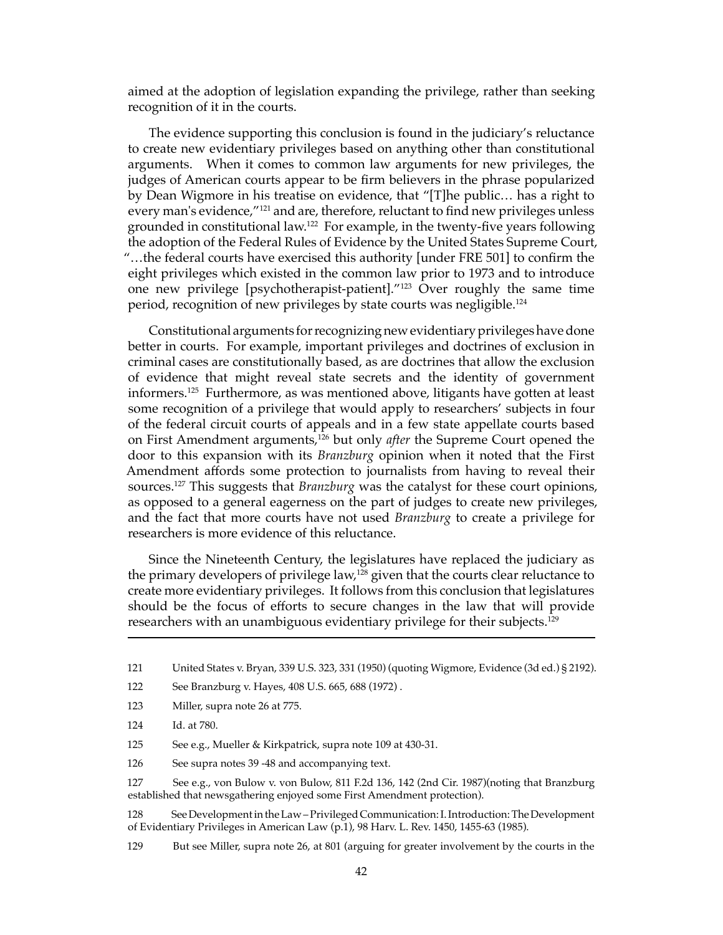aimed at the adoption of legislation expanding the privilege, rather than seeking recognition of it in the courts.

The evidence supporting this conclusion is found in the judiciary's reluctance to create new evidentiary privileges based on anything other than constitutional arguments. When it comes to common law arguments for new privileges, the judges of American courts appear to be firm believers in the phrase popularized by Dean Wigmore in his treatise on evidence, that "[T]he public… has a right to every man's evidence,"121 and are, therefore, reluctant to find new privileges unless grounded in constitutional law.122 For example, in the twenty-five years following the adoption of the Federal Rules of Evidence by the United States Supreme Court, "…the federal courts have exercised this authority [under FRE 501] to confirm the eight privileges which existed in the common law prior to 1973 and to introduce one new privilege [psychotherapist-patient]."123 Over roughly the same time period, recognition of new privileges by state courts was negligible.<sup>124</sup>

Constitutional arguments for recognizing new evidentiary privileges have done better in courts. For example, important privileges and doctrines of exclusion in criminal cases are constitutionally based, as are doctrines that allow the exclusion of evidence that might reveal state secrets and the identity of government informers.125 Furthermore, as was mentioned above, litigants have gotten at least some recognition of a privilege that would apply to researchers' subjects in four of the federal circuit courts of appeals and in a few state appellate courts based on First Amendment arguments,126 but only *after* the Supreme Court opened the door to this expansion with its *Branzburg* opinion when it noted that the First Amendment affords some protection to journalists from having to reveal their sources.127 This suggests that *Branzburg* was the catalyst for these court opinions, as opposed to a general eagerness on the part of judges to create new privileges, and the fact that more courts have not used *Branzburg* to create a privilege for researchers is more evidence of this reluctance.

Since the Nineteenth Century, the legislatures have replaced the judiciary as the primary developers of privilege law,<sup>128</sup> given that the courts clear reluctance to create more evidentiary privileges. It follows from this conclusion that legislatures should be the focus of efforts to secure changes in the law that will provide researchers with an unambiguous evidentiary privilege for their subjects.<sup>129</sup>

125 See e.g., Mueller & Kirkpatrick, supra note 109 at 430-31.

126 See supra notes 39 -48 and accompanying text.

127 See e.g., von Bulow v. von Bulow, 811 F.2d 136, 142 (2nd Cir. 1987)(noting that Branzburg established that newsgathering enjoyed some First Amendment protection).

128 See Development in the Law – Privileged Communication: I. Introduction: The Development of Evidentiary Privileges in American Law (p.1), 98 Harv. L. Rev. 1450, 1455-63 (1985).

129 But see Miller, supra note 26, at 801 (arguing for greater involvement by the courts in the

<sup>121</sup> United States v. Bryan, 339 U.S. 323, 331 (1950) (quoting Wigmore, Evidence (3d ed.) § 2192).

<sup>122</sup> See Branzburg v. Hayes, 408 U.S. 665, 688 (1972) .

<sup>123</sup> Miller, supra note 26 at 775.

<sup>124</sup> Id. at 780.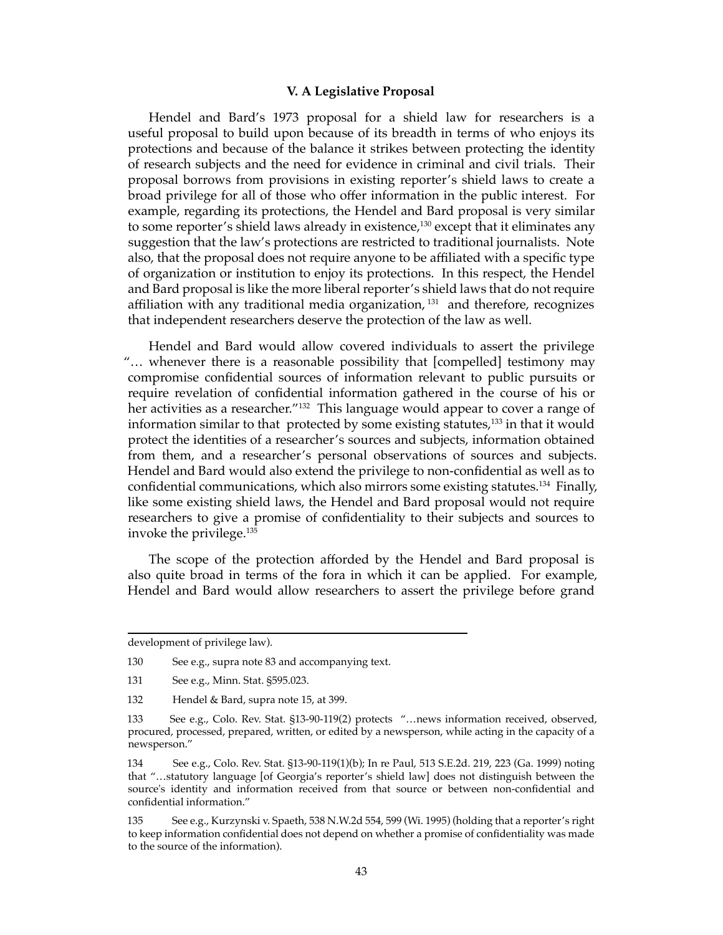#### **V. A Legislative Proposal**

Hendel and Bard's 1973 proposal for a shield law for researchers is a useful proposal to build upon because of its breadth in terms of who enjoys its protections and because of the balance it strikes between protecting the identity of research subjects and the need for evidence in criminal and civil trials. Their proposal borrows from provisions in existing reporter's shield laws to create a broad privilege for all of those who offer information in the public interest. For example, regarding its protections, the Hendel and Bard proposal is very similar to some reporter's shield laws already in existence,<sup>130</sup> except that it eliminates any suggestion that the law's protections are restricted to traditional journalists. Note also, that the proposal does not require anyone to be affiliated with a specific type of organization or institution to enjoy its protections. In this respect, the Hendel and Bard proposal is like the more liberal reporter's shield laws that do not require affiliation with any traditional media organization,  $131$  and therefore, recognizes that independent researchers deserve the protection of the law as well.

Hendel and Bard would allow covered individuals to assert the privilege "… whenever there is a reasonable possibility that [compelled] testimony may compromise confidential sources of information relevant to public pursuits or require revelation of confidential information gathered in the course of his or her activities as a researcher."<sup>132</sup> This language would appear to cover a range of information similar to that protected by some existing statutes, $133$  in that it would protect the identities of a researcher's sources and subjects, information obtained from them, and a researcher's personal observations of sources and subjects. Hendel and Bard would also extend the privilege to non-confidential as well as to confidential communications, which also mirrors some existing statutes.<sup>134</sup> Finally, like some existing shield laws, the Hendel and Bard proposal would not require researchers to give a promise of confidentiality to their subjects and sources to invoke the privilege.135

The scope of the protection afforded by the Hendel and Bard proposal is also quite broad in terms of the fora in which it can be applied. For example, Hendel and Bard would allow researchers to assert the privilege before grand

development of privilege law).

<sup>130</sup> See e.g., supra note 83 and accompanying text.

<sup>131</sup> See e.g., Minn. Stat. §595.023.

<sup>132</sup> Hendel & Bard, supra note 15, at 399.

<sup>133</sup> See e.g., Colo. Rev. Stat. §13-90-119(2) protects "…news information received, observed, procured, processed, prepared, written, or edited by a newsperson, while acting in the capacity of a newsperson."

<sup>134</sup> See e.g., Colo. Rev. Stat. §13-90-119(1)(b); In re Paul, 513 S.E.2d. 219, 223 (Ga. 1999) noting that "…statutory language [of Georgia's reporter's shield law] does not distinguish between the source's identity and information received from that source or between non-confidential and confidential information."

<sup>135</sup> See e.g., Kurzynski v. Spaeth, 538 N.W.2d 554, 599 (Wi. 1995) (holding that a reporter's right to keep information confidential does not depend on whether a promise of confidentiality was made to the source of the information).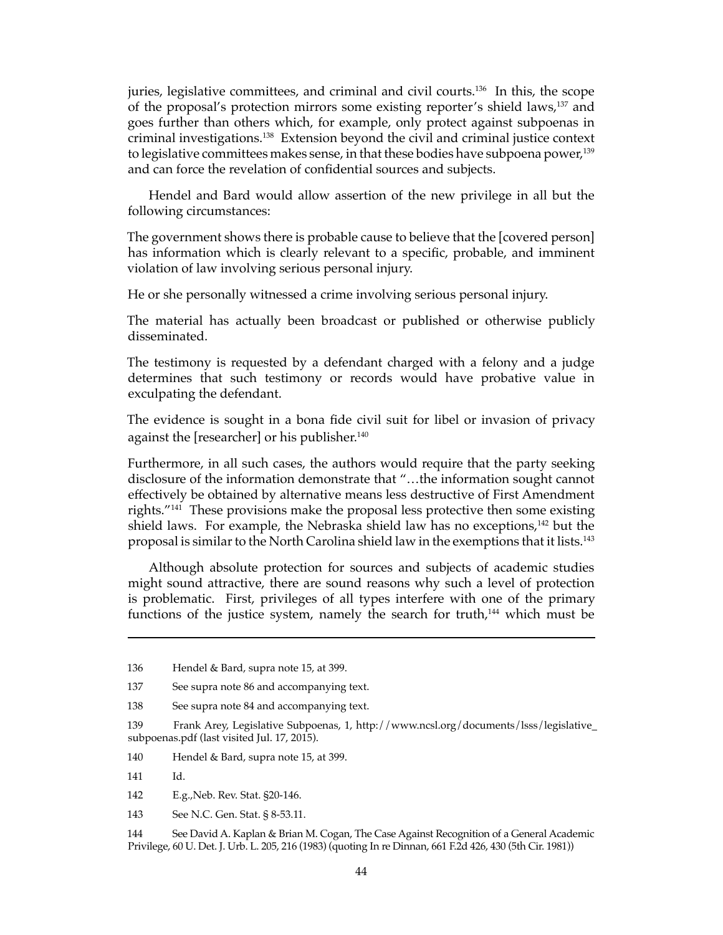juries, legislative committees, and criminal and civil courts.<sup>136</sup> In this, the scope of the proposal's protection mirrors some existing reporter's shield laws,137 and goes further than others which, for example, only protect against subpoenas in criminal investigations.138 Extension beyond the civil and criminal justice context to legislative committees makes sense, in that these bodies have subpoena power,139 and can force the revelation of confidential sources and subjects.

Hendel and Bard would allow assertion of the new privilege in all but the following circumstances:

The government shows there is probable cause to believe that the [covered person] has information which is clearly relevant to a specific, probable, and imminent violation of law involving serious personal injury.

He or she personally witnessed a crime involving serious personal injury.

The material has actually been broadcast or published or otherwise publicly disseminated.

The testimony is requested by a defendant charged with a felony and a judge determines that such testimony or records would have probative value in exculpating the defendant.

The evidence is sought in a bona fide civil suit for libel or invasion of privacy against the [researcher] or his publisher.<sup>140</sup>

Furthermore, in all such cases, the authors would require that the party seeking disclosure of the information demonstrate that "…the information sought cannot effectively be obtained by alternative means less destructive of First Amendment rights."141 These provisions make the proposal less protective then some existing shield laws. For example, the Nebraska shield law has no exceptions,<sup>142</sup> but the proposal is similar to the North Carolina shield law in the exemptions that it lists.143

Although absolute protection for sources and subjects of academic studies might sound attractive, there are sound reasons why such a level of protection is problematic. First, privileges of all types interfere with one of the primary functions of the justice system, namely the search for truth, $144$  which must be

140 Hendel & Bard, supra note 15, at 399.

141 Id.

142 E.g.,Neb. Rev. Stat. §20-146.

143 See N.C. Gen. Stat. § 8-53.11.

144 See David A. Kaplan & Brian M. Cogan, The Case Against Recognition of a General Academic Privilege, 60 U. Det. J. Urb. L. 205, 216 (1983) (quoting In re Dinnan, 661 F.2d 426, 430 (5th Cir. 1981))

<sup>136</sup> Hendel & Bard, supra note 15, at 399.

<sup>137</sup> See supra note 86 and accompanying text.

<sup>138</sup> See supra note 84 and accompanying text.

<sup>139</sup> Frank Arey, Legislative Subpoenas, 1, http://www.ncsl.org/documents/lsss/legislative\_ subpoenas.pdf (last visited Jul. 17, 2015).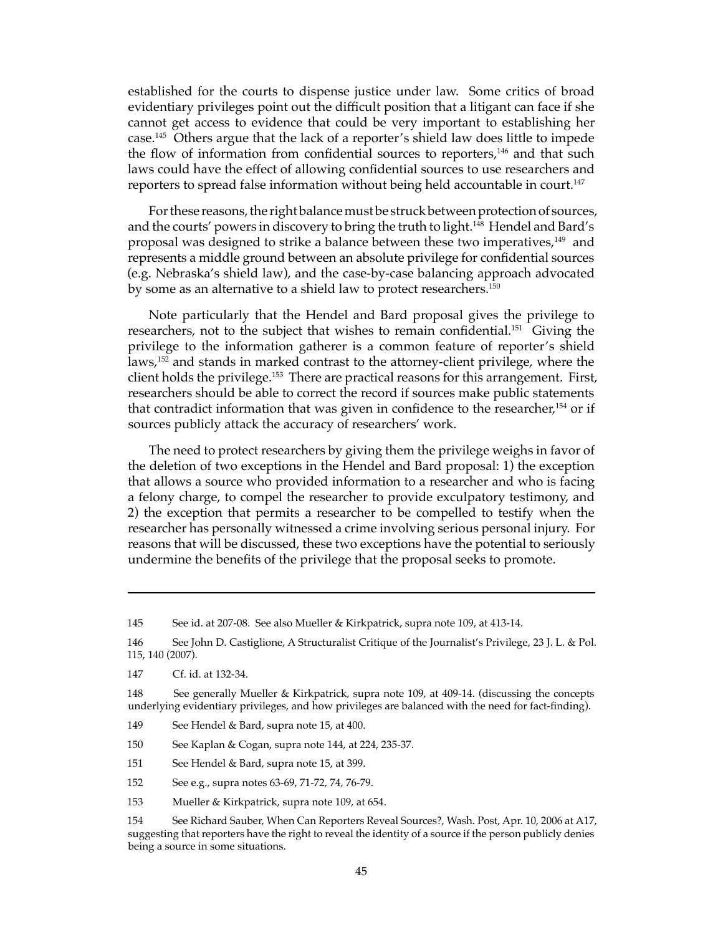established for the courts to dispense justice under law. Some critics of broad evidentiary privileges point out the difficult position that a litigant can face if she cannot get access to evidence that could be very important to establishing her case.145 Others argue that the lack of a reporter's shield law does little to impede the flow of information from confidential sources to reporters,<sup>146</sup> and that such laws could have the effect of allowing confidential sources to use researchers and reporters to spread false information without being held accountable in court.<sup>147</sup>

For these reasons, the right balance must be struck between protection of sources, and the courts' powers in discovery to bring the truth to light.<sup>148</sup> Hendel and Bard's proposal was designed to strike a balance between these two imperatives,<sup>149</sup> and represents a middle ground between an absolute privilege for confidential sources (e.g. Nebraska's shield law), and the case-by-case balancing approach advocated by some as an alternative to a shield law to protect researchers.150

Note particularly that the Hendel and Bard proposal gives the privilege to researchers, not to the subject that wishes to remain confidential.<sup>151</sup> Giving the privilege to the information gatherer is a common feature of reporter's shield laws,<sup>152</sup> and stands in marked contrast to the attorney-client privilege, where the client holds the privilege.153 There are practical reasons for this arrangement. First, researchers should be able to correct the record if sources make public statements that contradict information that was given in confidence to the researcher,<sup>154</sup> or if sources publicly attack the accuracy of researchers' work.

The need to protect researchers by giving them the privilege weighs in favor of the deletion of two exceptions in the Hendel and Bard proposal: 1) the exception that allows a source who provided information to a researcher and who is facing a felony charge, to compel the researcher to provide exculpatory testimony, and 2) the exception that permits a researcher to be compelled to testify when the researcher has personally witnessed a crime involving serious personal injury. For reasons that will be discussed, these two exceptions have the potential to seriously undermine the benefits of the privilege that the proposal seeks to promote.

150 See Kaplan & Cogan, supra note 144, at 224, 235-37.

- 151 See Hendel & Bard, supra note 15, at 399.
- 152 See e.g., supra notes 63-69, 71-72, 74, 76-79.
- 153 Mueller & Kirkpatrick, supra note 109, at 654.

<sup>145</sup> See id. at 207-08. See also Mueller & Kirkpatrick, supra note 109, at 413-14.

<sup>146</sup> See John D. Castiglione, A Structuralist Critique of the Journalist's Privilege, 23 J. L. & Pol. 115, 140 (2007).

<sup>147</sup> Cf. id. at 132-34.

<sup>148</sup> See generally Mueller & Kirkpatrick, supra note 109, at 409-14. (discussing the concepts underlying evidentiary privileges, and how privileges are balanced with the need for fact-finding).

<sup>149</sup> See Hendel & Bard, supra note 15, at 400.

<sup>154</sup> See Richard Sauber, When Can Reporters Reveal Sources?, Wash. Post, Apr. 10, 2006 at A17, suggesting that reporters have the right to reveal the identity of a source if the person publicly denies being a source in some situations.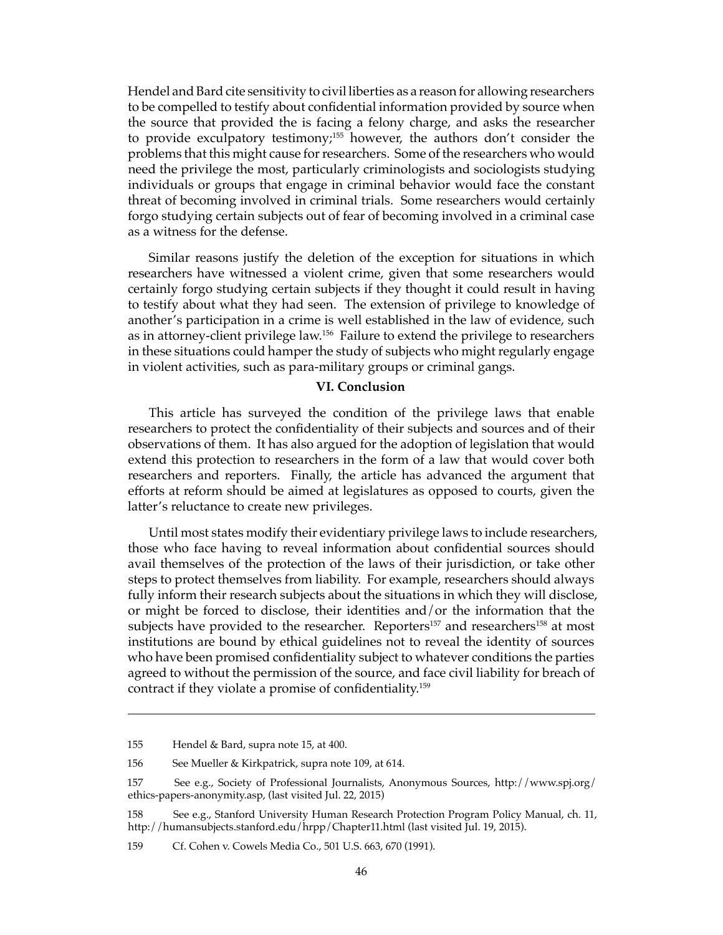Hendel and Bard cite sensitivity to civil liberties as a reason for allowing researchers to be compelled to testify about confidential information provided by source when the source that provided the is facing a felony charge, and asks the researcher to provide exculpatory testimony;155 however, the authors don't consider the problems that this might cause for researchers. Some of the researchers who would need the privilege the most, particularly criminologists and sociologists studying individuals or groups that engage in criminal behavior would face the constant threat of becoming involved in criminal trials. Some researchers would certainly forgo studying certain subjects out of fear of becoming involved in a criminal case as a witness for the defense.

Similar reasons justify the deletion of the exception for situations in which researchers have witnessed a violent crime, given that some researchers would certainly forgo studying certain subjects if they thought it could result in having to testify about what they had seen. The extension of privilege to knowledge of another's participation in a crime is well established in the law of evidence, such as in attorney-client privilege law.156 Failure to extend the privilege to researchers in these situations could hamper the study of subjects who might regularly engage in violent activities, such as para-military groups or criminal gangs.

#### **VI. Conclusion**

This article has surveyed the condition of the privilege laws that enable researchers to protect the confidentiality of their subjects and sources and of their observations of them. It has also argued for the adoption of legislation that would extend this protection to researchers in the form of a law that would cover both researchers and reporters. Finally, the article has advanced the argument that efforts at reform should be aimed at legislatures as opposed to courts, given the latter's reluctance to create new privileges.

Until most states modify their evidentiary privilege laws to include researchers, those who face having to reveal information about confidential sources should avail themselves of the protection of the laws of their jurisdiction, or take other steps to protect themselves from liability. For example, researchers should always fully inform their research subjects about the situations in which they will disclose, or might be forced to disclose, their identities and/or the information that the subjects have provided to the researcher. Reporters<sup>157</sup> and researchers<sup>158</sup> at most institutions are bound by ethical guidelines not to reveal the identity of sources who have been promised confidentiality subject to whatever conditions the parties agreed to without the permission of the source, and face civil liability for breach of contract if they violate a promise of confidentiality.159

<sup>155</sup> Hendel & Bard, supra note 15, at 400.

<sup>156</sup> See Mueller & Kirkpatrick, supra note 109, at 614.

<sup>157</sup> See e.g., Society of Professional Journalists, Anonymous Sources, http://www.spj.org/ ethics-papers-anonymity.asp, (last visited Jul. 22, 2015)

<sup>158</sup> See e.g., Stanford University Human Research Protection Program Policy Manual, ch. 11, http://humansubjects.stanford.edu/hrpp/Chapter11.html (last visited Jul. 19, 2015).

<sup>159</sup> Cf. Cohen v. Cowels Media Co., 501 U.S. 663, 670 (1991).